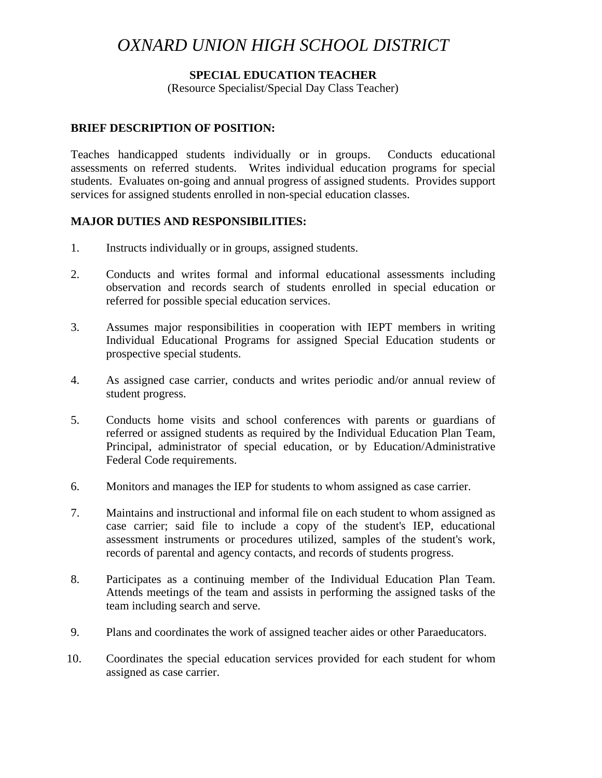# *OXNARD UNION HIGH SCHOOL DISTRICT*

#### **SPECIAL EDUCATION TEACHER**

(Resource Specialist/Special Day Class Teacher)

#### **BRIEF DESCRIPTION OF POSITION:**

Teaches handicapped students individually or in groups. Conducts educational assessments on referred students. Writes individual education programs for special students. Evaluates on-going and annual progress of assigned students. Provides support services for assigned students enrolled in non-special education classes.

## **MAJOR DUTIES AND RESPONSIBILITIES:**

- 1. Instructs individually or in groups, assigned students.
- 2. Conducts and writes formal and informal educational assessments including observation and records search of students enrolled in special education or referred for possible special education services.
- 3. Assumes major responsibilities in cooperation with IEPT members in writing Individual Educational Programs for assigned Special Education students or prospective special students.
- 4. As assigned case carrier, conducts and writes periodic and/or annual review of student progress.
- 5. Conducts home visits and school conferences with parents or guardians of referred or assigned students as required by the Individual Education Plan Team, Principal, administrator of special education, or by Education/Administrative Federal Code requirements.
- 6. Monitors and manages the IEP for students to whom assigned as case carrier.
- 7. Maintains and instructional and informal file on each student to whom assigned as case carrier; said file to include a copy of the student's IEP, educational assessment instruments or procedures utilized, samples of the student's work, records of parental and agency contacts, and records of students progress.
- 8. Participates as a continuing member of the Individual Education Plan Team. Attends meetings of the team and assists in performing the assigned tasks of the team including search and serve.
- 9. Plans and coordinates the work of assigned teacher aides or other Paraeducators.
- 10. Coordinates the special education services provided for each student for whom assigned as case carrier.